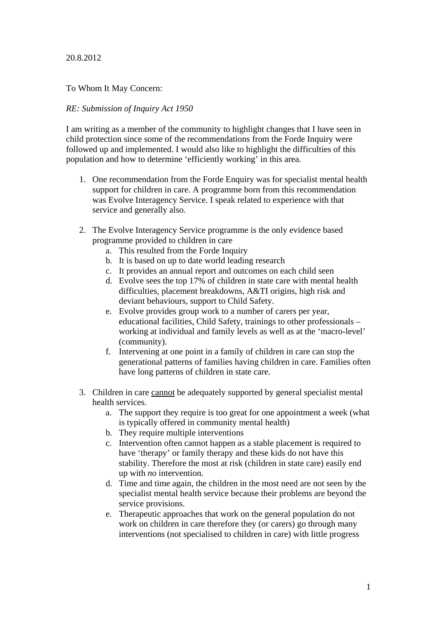## 20.8.2012

To Whom It May Concern:

## *RE: Submission of Inquiry Act 1950*

I am writing as a member of the community to highlight changes that I have seen in child protection since some of the recommendations from the Forde Inquiry were followed up and implemented. I would also like to highlight the difficulties of this population and how to determine 'efficiently working' in this area.

- 1. One recommendation from the Forde Enquiry was for specialist mental health support for children in care. A programme born from this recommendation was Evolve Interagency Service. I speak related to experience with that service and generally also.
- 2. The Evolve Interagency Service programme is the only evidence based programme provided to children in care
	- a. This resulted from the Forde Inquiry
	- b. It is based on up to date world leading research
	- c. It provides an annual report and outcomes on each child seen
	- d. Evolve sees the top 17% of children in state care with mental health difficulties, placement breakdowns, A&TI origins, high risk and deviant behaviours, support to Child Safety.
	- e. Evolve provides group work to a number of carers per year, educational facilities, Child Safety, trainings to other professionals – working at individual and family levels as well as at the 'macro-level' (community).
	- f. Intervening at one point in a family of children in care can stop the generational patterns of families having children in care. Families often have long patterns of children in state care.
- 3. Children in care cannot be adequately supported by general specialist mental health services.
	- a. The support they require is too great for one appointment a week (what is typically offered in community mental health)
	- b. They require multiple interventions
	- c. Intervention often cannot happen as a stable placement is required to have 'therapy' or family therapy and these kids do not have this stability. Therefore the most at risk (children in state care) easily end up with *no* intervention.
	- d. Time and time again, the children in the most need are not seen by the specialist mental health service because their problems are beyond the service provisions.
	- e. Therapeutic approaches that work on the general population do not work on children in care therefore they (or carers) go through many interventions (not specialised to children in care) with little progress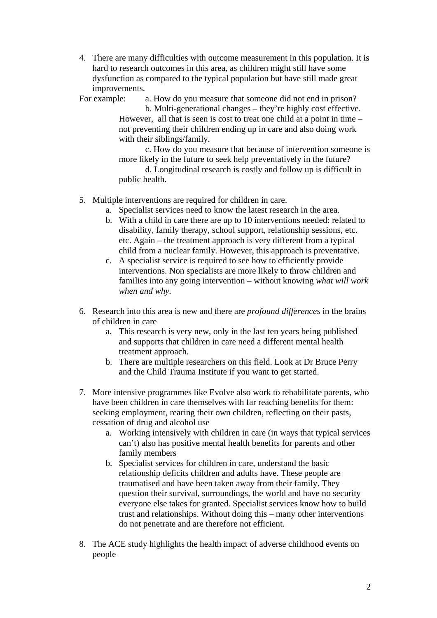4. There are many difficulties with outcome measurement in this population. It is hard to research outcomes in this area, as children might still have some dysfunction as compared to the typical population but have still made great improvements.

For example: a. How do you measure that someone did not end in prison?

b. Multi-generational changes – they're highly cost effective. However, all that is seen is cost to treat one child at a point in time – not preventing their children ending up in care and also doing work with their siblings/family.

c. How do you measure that because of intervention someone is more likely in the future to seek help preventatively in the future?

d. Longitudinal research is costly and follow up is difficult in public health.

- 5. Multiple interventions are required for children in care.
	- a. Specialist services need to know the latest research in the area.
	- b. With a child in care there are up to 10 interventions needed: related to disability, family therapy, school support, relationship sessions, etc. etc. Again – the treatment approach is very different from a typical child from a nuclear family. However, this approach is preventative.
	- c. A specialist service is required to see how to efficiently provide interventions. Non specialists are more likely to throw children and families into any going intervention – without knowing *what will work when and why.*
- 6. Research into this area is new and there are *profound differences* in the brains of children in care
	- a. This research is very new, only in the last ten years being published and supports that children in care need a different mental health treatment approach.
	- b. There are multiple researchers on this field. Look at Dr Bruce Perry and the Child Trauma Institute if you want to get started.
- 7. More intensive programmes like Evolve also work to rehabilitate parents, who have been children in care themselves with far reaching benefits for them: seeking employment, rearing their own children, reflecting on their pasts, cessation of drug and alcohol use
	- a. Working intensively with children in care (in ways that typical services can't) also has positive mental health benefits for parents and other family members
	- b. Specialist services for children in care, understand the basic relationship deficits children and adults have. These people are traumatised and have been taken away from their family. They question their survival, surroundings, the world and have no security everyone else takes for granted. Specialist services know how to build trust and relationships. Without doing this – many other interventions do not penetrate and are therefore not efficient.
- 8. The ACE study highlights the health impact of adverse childhood events on people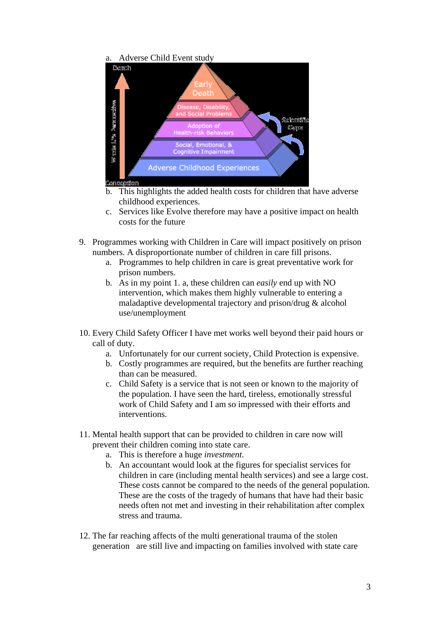## a. Adverse Child Event study



- b. This highlights the added health costs for children that have adverse childhood experiences.
- c. Services like Evolve therefore may have a positive impact on health costs for the future
- 9. Programmes working with Children in Care will impact positively on prison numbers. A disproportionate number of children in care fill prisons.
	- a. Programmes to help children in care is great preventative work for prison numbers.
	- b. As in my point 1. a, these children can *easily* end up with NO intervention, which makes them highly vulnerable to entering a maladaptive developmental trajectory and prison/drug & alcohol use/unemployment
- 10. Every Child Safety Officer I have met works well beyond their paid hours or call of duty.
	- a. Unfortunately for our current society, Child Protection is expensive.
	- b. Costly programmes are required, but the benefits are further reaching than can be measured.
	- c. Child Safety is a service that is not seen or known to the majority of the population. I have seen the hard, tireless, emotionally stressful work of Child Safety and I am so impressed with their efforts and interventions.
- 11. Mental health support that can be provided to children in care now will prevent their children coming into state care.
	- a. This is therefore a huge *investment.*
	- b. An accountant would look at the figures for specialist services for children in care (including mental health services) and see a large cost. These costs cannot be compared to the needs of the general population. These are the costs of the tragedy of humans that have had their basic needs often not met and investing in their rehabilitation after complex stress and trauma.
- 12. The far reaching affects of the multi generational trauma of the stolen generation are still live and impacting on families involved with state care